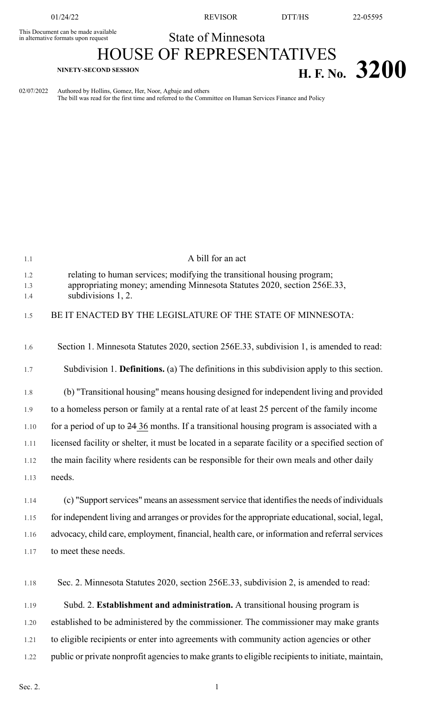This Document can be made available<br>in alternative formats upon request

01/24/22 REVISOR DTT/HS 22-05595

## State of Minnesota

## HOUSE OF REPRESENTATIVES **H. F. NO.** 3200

02/07/2022 Authored by Hollins, Gomez, Her, Noor, Agbaje and others The bill was read for the first time and referred to the Committee on Human Services Finance and Policy

| 1.1  | A bill for an act                                                                                 |
|------|---------------------------------------------------------------------------------------------------|
| 1.2  | relating to human services; modifying the transitional housing program;                           |
| 1.3  | appropriating money; amending Minnesota Statutes 2020, section 256E.33,                           |
| 1.4  | subdivisions 1, 2.                                                                                |
| 1.5  | BE IT ENACTED BY THE LEGISLATURE OF THE STATE OF MINNESOTA:                                       |
|      |                                                                                                   |
| 1.6  | Section 1. Minnesota Statutes 2020, section 256E.33, subdivision 1, is amended to read:           |
|      |                                                                                                   |
| 1.7  | Subdivision 1. Definitions. (a) The definitions in this subdivision apply to this section.        |
| 1.8  | (b) "Transitional housing" means housing designed for independent living and provided             |
| 1.9  | to a homeless person or family at a rental rate of at least 25 percent of the family income       |
| 1.10 | for a period of up to 24 36 months. If a transitional housing program is associated with a        |
| 1.11 | licensed facility or shelter, it must be located in a separate facility or a specified section of |
| 1.12 | the main facility where residents can be responsible for their own meals and other daily          |
| 1.13 | needs.                                                                                            |
| 1.14 | (c) "Support services" means an assessment service that identifies the needs of individuals       |
|      |                                                                                                   |
| 1.15 | for independent living and arranges or provides for the appropriate educational, social, legal,   |
| 1.16 | advocacy, child care, employment, financial, health care, or information and referral services    |
| 1.17 | to meet these needs.                                                                              |
|      |                                                                                                   |
| 1.18 | Sec. 2. Minnesota Statutes 2020, section 256E.33, subdivision 2, is amended to read:              |
| 1.19 | Subd. 2. Establishment and administration. A transitional housing program is                      |
|      |                                                                                                   |
| 1.20 | established to be administered by the commissioner. The commissioner may make grants              |
| 1.21 | to eligible recipients or enter into agreements with community action agencies or other           |
| 1.22 | public or private nonprofit agencies to make grants to eligible recipients to initiate, maintain, |